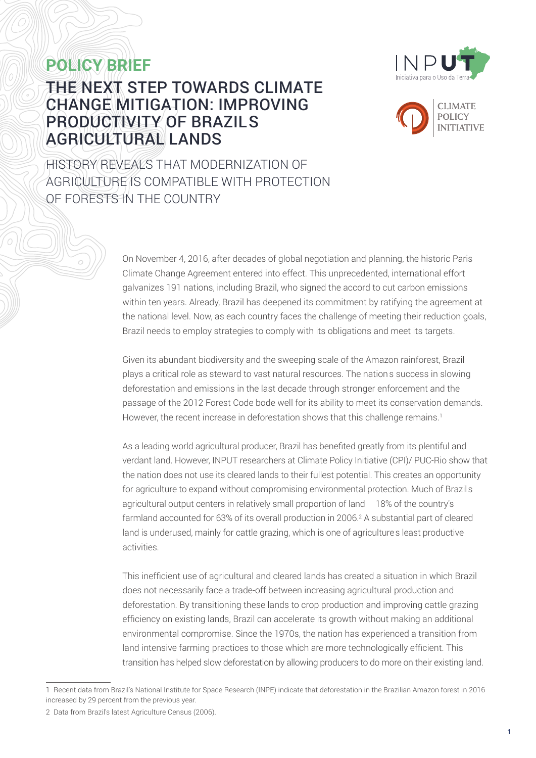# **POLICY BRIEF**



## THE NEXT STEP TOWARDS CLIMATE CHANGE MITIGATION: IMPROVING PRODUCTIVITY OF BRAZIL'S AGRICULTURAL LANDS



HISTORY REVEALS THAT MODERNIZATION OF AGRICULTURE IS COMPATIBLE WITH PROTECTION OF FORESTS IN THE COUNTRY

> On November 4, 2016, after decades of global negotiation and planning, the historic Paris Climate Change Agreement entered into effect. This unprecedented, international effort galvanizes 191 nations, including Brazil, who signed the accord to cut carbon emissions within ten years. Already, Brazil has deepened its commitment by ratifying the agreement at the national level. Now, as each country faces the challenge of meeting their reduction goals, Brazil needs to employ strategies to comply with its obligations and meet its targets.

Given its abundant biodiversity and the sweeping scale of the Amazon rainforest, Brazil plays a critical role as steward to vast natural resources. The nation's success in slowing deforestation and emissions in the last decade through stronger enforcement and the passage of the 2012 Forest Code bode well for its ability to meet its conservation demands. However, the recent increase in deforestation shows that this challenge remains.<sup>1</sup>

As a leading world agricultural producer, Brazil has benefited greatly from its plentiful and verdant land. However, INPUT researchers at Climate Policy Initiative (CPI)/ PUC-Rio show that the nation does not use its cleared lands to their fullest potential. This creates an opportunity for agriculture to expand without compromising environmental protection. Much of Brazil's agricultural output centers in relatively small proportion of land – 18% of the country's farmland accounted for 63% of its overall production in 2006.<sup>2</sup> A substantial part of cleared land is underused, mainly for cattle grazing, which is one of agriculture's least productive activities.

This inefficient use of agricultural and cleared lands has created a situation in which Brazil does not necessarily face a trade-off between increasing agricultural production and deforestation. By transitioning these lands to crop production and improving cattle grazing efficiency on existing lands, Brazil can accelerate its growth without making an additional environmental compromise. Since the 1970s, the nation has experienced a transition from land intensive farming practices to those which are more technologically efficient. This transition has helped slow deforestation by allowing producers to do more on their existing land.

<sup>1</sup> Recent data from Brazil's National Institute for Space Research (INPE) indicate that deforestation in the Brazilian Amazon forest in 2016 increased by 29 percent from the previous year.

<sup>2</sup> Data from Brazil's latest Agriculture Census (2006).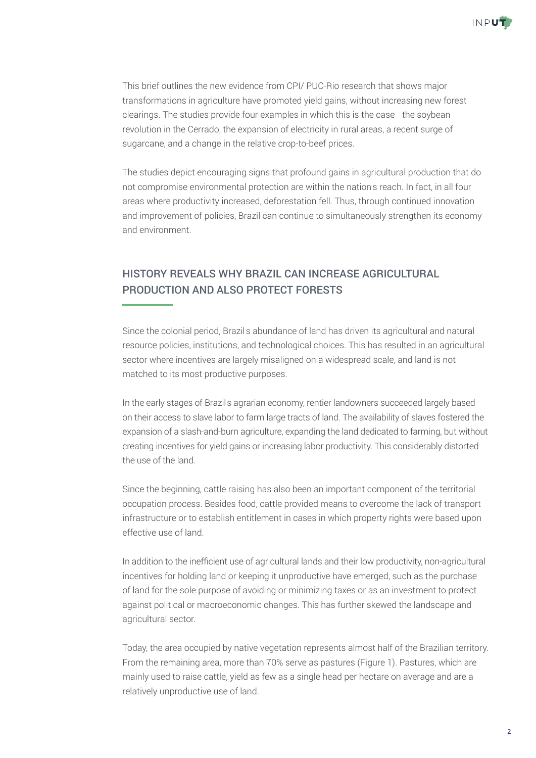

This brief outlines the new evidence from CPI/ PUC-Rio research that shows major transformations in agriculture have promoted yield gains, without increasing new forest clearings. The studies provide four examples in which this is the case—the soybean revolution in the Cerrado, the expansion of electricity in rural areas, a recent surge of sugarcane, and a change in the relative crop-to-beef prices.

The studies depict encouraging signs that profound gains in agricultural production that do not compromise environmental protection are within the nation's reach. In fact, in all four areas where productivity increased, deforestation fell. Thus, through continued innovation and improvement of policies, Brazil can continue to simultaneously strengthen its economy and environment.

#### HISTORY REVEALS WHY BRAZIL CAN INCREASE AGRICULTURAL PRODUCTION AND ALSO PROTECT FORESTS

Since the colonial period, Brazil's abundance of land has driven its agricultural and natural resource policies, institutions, and technological choices. This has resulted in an agricultural sector where incentives are largely misaligned on a widespread scale, and land is not matched to its most productive purposes.

In the early stages of Brazil's agrarian economy, rentier landowners succeeded largely based on their access to slave labor to farm large tracts of land. The availability of slaves fostered the expansion of a slash-and-burn agriculture, expanding the land dedicated to farming, but without creating incentives for yield gains or increasing labor productivity. This considerably distorted the use of the land.

Since the beginning, cattle raising has also been an important component of the territorial occupation process. Besides food, cattle provided means to overcome the lack of transport infrastructure or to establish entitlement in cases in which property rights were based upon effective use of land.

In addition to the inefficient use of agricultural lands and their low productivity, non-agricultural incentives for holding land or keeping it unproductive have emerged, such as the purchase of land for the sole purpose of avoiding or minimizing taxes or as an investment to protect against political or macroeconomic changes. This has further skewed the landscape and agricultural sector.

Today, the area occupied by native vegetation represents almost half of the Brazilian territory. From the remaining area, more than 70% serve as pastures (Figure 1). Pastures, which are mainly used to raise cattle, yield as few as a single head per hectare on average and are a relatively unproductive use of land.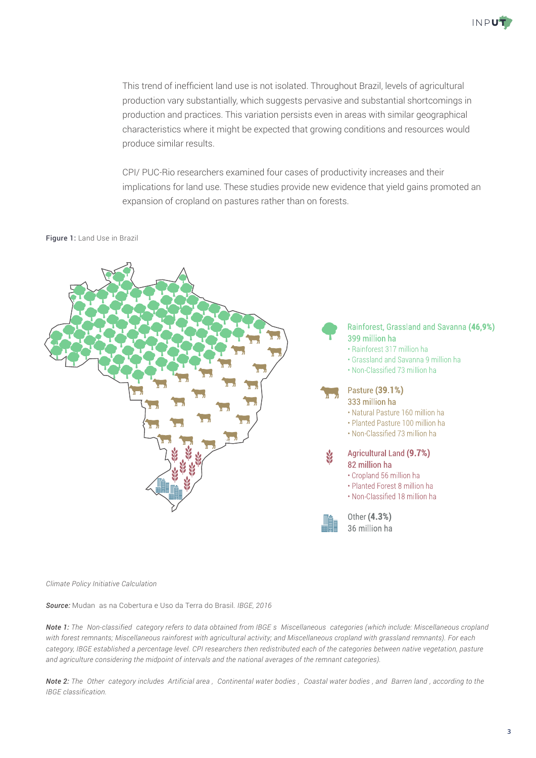

This trend of inefficient land use is not isolated. Throughout Brazil, levels of agricultural production vary substantially, which suggests pervasive and substantial shortcomings in production and practices. This variation persists even in areas with similar geographical characteristics where it might be expected that growing conditions and resources would produce similar results.

CPI/ PUC-Rio researchers examined four cases of productivity increases and their implications for land use. These studies provide new evidence that yield gains promoted an expansion of cropland on pastures rather than on forests.

#### Figure 1: Land Use in Brazil



*Climate Policy Initiative Calculation*

*Source:* Mudanças na Cobertura e Uso da Terra do Brasil*. IBGE, 2016*

*Note 1: The "Non-classified" category refers to data obtained from IBGE´s "Miscellaneous" categories (which include: Miscellaneous cropland with forest remnants; Miscellaneous rainforest with agricultural activity; and Miscellaneous cropland with grassland remnants). For each category, IBGE established a percentage level. CPI researchers then redistributed each of the categories between native vegetation, pasture and agriculture considering the midpoint of intervals and the national averages of the remnant categories).* 

*Note 2: The "Other" category includes "Artificial area", "Continental water bodies", "Coastal water bodies", and "Barren land", according to the IBGE classification.*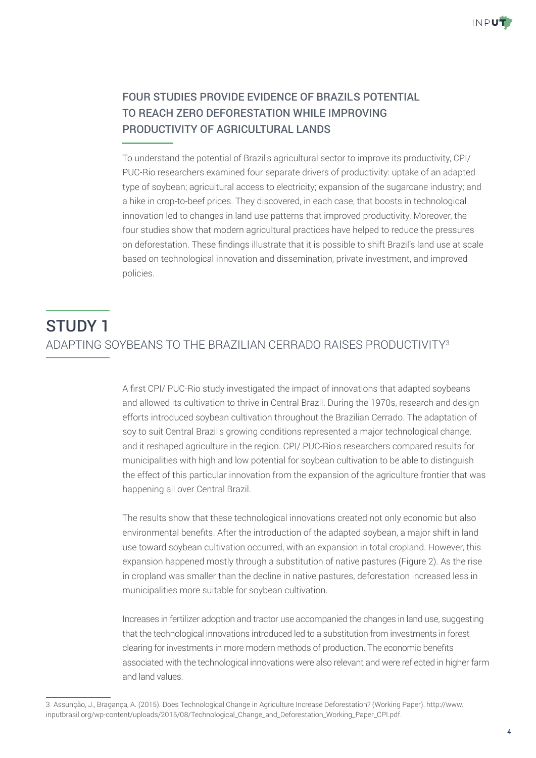

### FOUR STUDIES PROVIDE EVIDENCE OF BRAZIL'S POTENTIAL TO REACH ZERO DEFORESTATION WHILE IMPROVING PRODUCTIVITY OF AGRICULTURAL LANDS

To understand the potential of Brazil's agricultural sector to improve its productivity, CPI/ PUC-Rio researchers examined four separate drivers of productivity: uptake of an adapted type of soybean; agricultural access to electricity; expansion of the sugarcane industry; and a hike in crop-to-beef prices. They discovered, in each case, that boosts in technological innovation led to changes in land use patterns that improved productivity. Moreover, the four studies show that modern agricultural practices have helped to reduce the pressures on deforestation. These findings illustrate that it is possible to shift Brazil's land use at scale based on technological innovation and dissemination, private investment, and improved policies.

# STUDY 1 ADAPTING SOYBEANS TO THE BRAZILIAN CERRADO RAISES PRODUCTIVITY<sup>3</sup>

A first CPI/ PUC-Rio study investigated the impact of innovations that adapted soybeans and allowed its cultivation to thrive in Central Brazil. During the 1970s, research and design efforts introduced soybean cultivation throughout the Brazilian Cerrado. The adaptation of soy to suit Central Brazil's growing conditions represented a major technological change, and it reshaped agriculture in the region. CPI/ PUC-Rio's researchers compared results for municipalities with high and low potential for soybean cultivation to be able to distinguish the effect of this particular innovation from the expansion of the agriculture frontier that was happening all over Central Brazil.

The results show that these technological innovations created not only economic but also environmental benefits. After the introduction of the adapted soybean, a major shift in land use toward soybean cultivation occurred, with an expansion in total cropland. However, this expansion happened mostly through a substitution of native pastures (Figure 2). As the rise in cropland was smaller than the decline in native pastures, deforestation increased less in municipalities more suitable for soybean cultivation.

Increases in fertilizer adoption and tractor use accompanied the changes in land use, suggesting that the technological innovations introduced led to a substitution from investments in forest clearing for investments in more modern methods of production. The economic benefits associated with the technological innovations were also relevant and were reflected in higher farm and land values.

<sup>3</sup> Assunção, J., Bragança, A. (2015). Does Technological Change in Agriculture Increase Deforestation? (Working Paper). http://www. inputbrasil.org/wp-content/uploads/2015/08/Technological\_Change\_and\_Deforestation\_Working\_Paper\_CPI.pdf.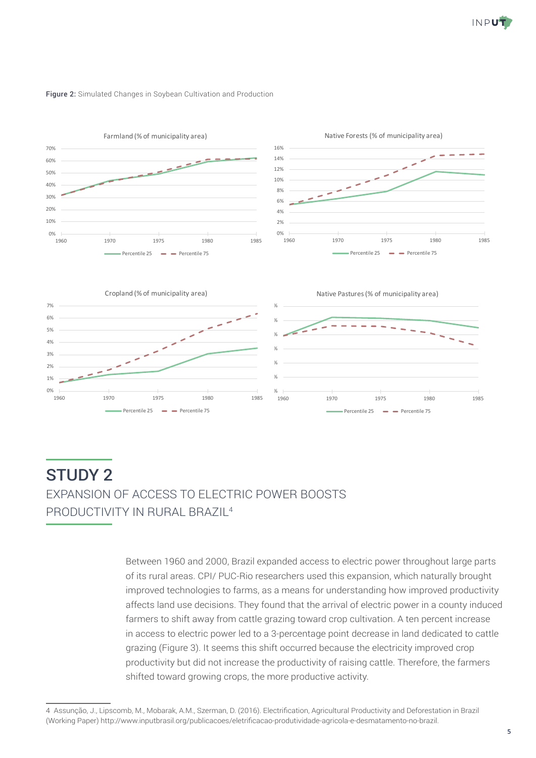





### STUDY 2 EXPANSION OF ACCESS TO ELECTRIC POWER BOOSTS PRODUCTIVITY IN RURAL BRAZIL<sup>4</sup>

Between 1960 and 2000, Brazil expanded access to electric power throughout large parts of its rural areas. CPI/ PUC-Rio researchers used this expansion, which naturally brought improved technologies to farms, as a means for understanding how improved productivity affects land use decisions. They found that the arrival of electric power in a county induced farmers to shift away from cattle grazing toward crop cultivation. A ten percent increase in access to electric power led to a 3-percentage point decrease in land dedicated to cattle grazing (Figure 3). It seems this shift occurred because the electricity improved crop productivity but did not increase the productivity of raising cattle. Therefore, the farmers shifted toward growing crops, the more productive activity.

<sup>4</sup> Assunção, J., Lipscomb, M., Mobarak, A.M., Szerman, D. (2016). Electrification, Agricultural Productivity and Deforestation in Brazil (Working Paper) http://www.inputbrasil.org/publicacoes/eletrificacao-produtividade-agricola-e-desmatamento-no-brazil.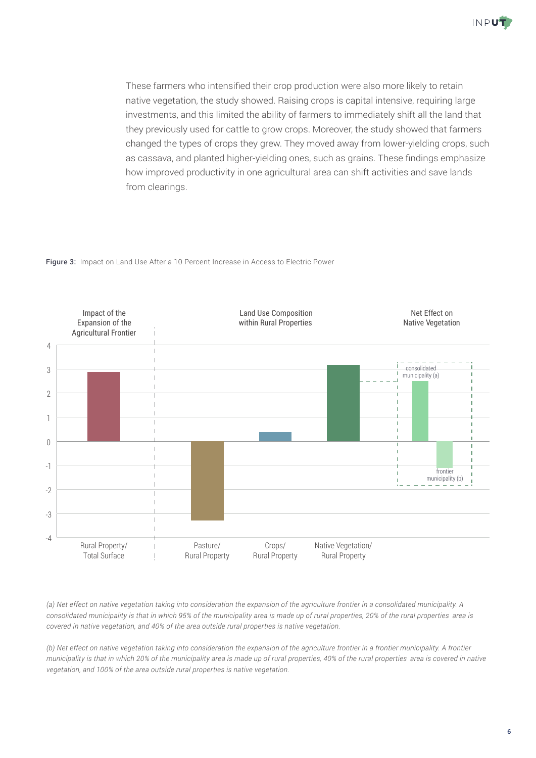

These farmers who intensified their crop production were also more likely to retain native vegetation, the study showed. Raising crops is capital intensive, requiring large investments, and this limited the ability of farmers to immediately shift all the land that they previously used for cattle to grow crops. Moreover, the study showed that farmers changed the types of crops they grew. They moved away from lower-yielding crops, such as cassava, and planted higher-yielding ones, such as grains. These findings emphasize how improved productivity in one agricultural area can shift activities and save lands from clearings.

Figure 3: Impact on Land Use After a 10 Percent Increase in Access to Electric Power



*(a) Net effect on native vegetation taking into consideration the expansion of the agriculture frontier in a consolidated municipality. A consolidated municipality is that in which 95% of the municipality area is made up of rural properties, 20% of the rural properties' area is covered in native vegetation, and 40% of the area outside rural properties is native vegetation.*

*(b) Net effect on native vegetation taking into consideration the expansion of the agriculture frontier in a frontier municipality. A frontier municipality is that in which 20% of the municipality area is made up of rural properties, 40% of the rural properties' area is covered in native vegetation, and 100% of the area outside rural properties is native vegetation.*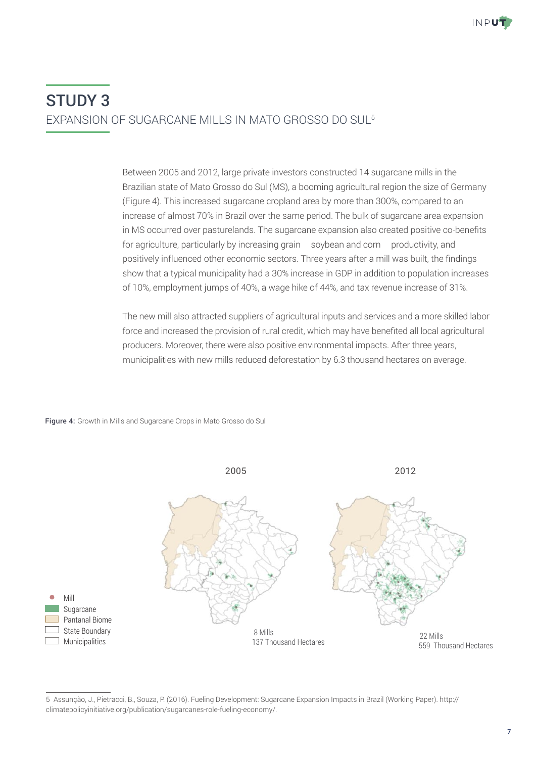# STUDY 3 EXPANSION OF SUGARCANE MILLS IN MATO GROSSO DO SUL5

Between 2005 and 2012, large private investors constructed 14 sugarcane mills in the Brazilian state of Mato Grosso do Sul (MS), a booming agricultural region the size of Germany (Figure 4). This increased sugarcane cropland area by more than 300%, compared to an increase of almost 70% in Brazil over the same period. The bulk of sugarcane area expansion in MS occurred over pasturelands. The sugarcane expansion also created positive co-benefits for agriculture, particularly by increasing grain – soybean and corn – productivity, and positively influenced other economic sectors. Three years after a mill was built, the findings show that a typical municipality had a 30% increase in GDP in addition to population increases of 10%, employment jumps of 40%, a wage hike of 44%, and tax revenue increase of 31%.

The new mill also attracted suppliers of agricultural inputs and services and a more skilled labor force and increased the provision of rural credit, which may have benefited all local agricultural producers. Moreover, there were also positive environmental impacts. After three years, municipalities with new mills reduced deforestation by 6.3 thousand hectares on average.





<sup>5</sup> Assunção, J., Pietracci, B., Souza, P. (2016). Fueling Development: Sugarcane Expansion Impacts in Brazil (Working Paper). http:// climatepolicyinitiative.org/publication/sugarcanes-role-fueling-economy/.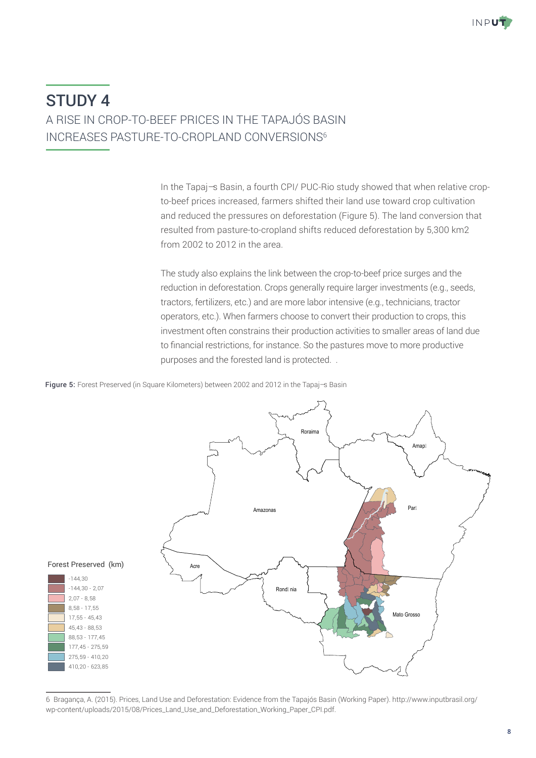### STUDY 4 A RISE IN CROP-TO-BEEF PRICES IN THE TAPAJÓS BASIN INCREASES PASTURE-TO-CROPLAND CONVERSIONS<sup>6</sup>

In the Tapaj-s Basin, a fourth CPI/ PUC-Rio study showed that when relative cropto-beef prices increased, farmers shifted their land use toward crop cultivation and reduced the pressures on deforestation (Figure 5). The land conversion that resulted from pasture-to-cropland shifts reduced deforestation by 5,300 km2 from 2002 to 2012 in the area.

The study also explains the link between the crop-to-beef price surges and the reduction in deforestation. Crops generally require larger investments (e.g., seeds, tractors, fertilizers, etc.) and are more labor intensive (e.g., technicians, tractor operators, etc.). When farmers choose to convert their production to crops, this investment often constrains their production activities to smaller areas of land due Pará to financial restrictions, for instance. So the pastures move to more productive purposes and the forested land is protected. . Amazonas

Figure 5: Forest Preserved (in Square Kilometers) between 2002 and 2012 in the Tapaj-s Basin



<sup>6</sup> Bragança, A. (2015). Prices, Land Use and Deforestation: Evidence from the Tapajós Basin (Working Paper). http://www.inputbrasil.org/ wp-content/uploads/2015/08/Prices\_Land\_Use\_and\_Deforestation\_Working\_Paper\_CPI.pdf.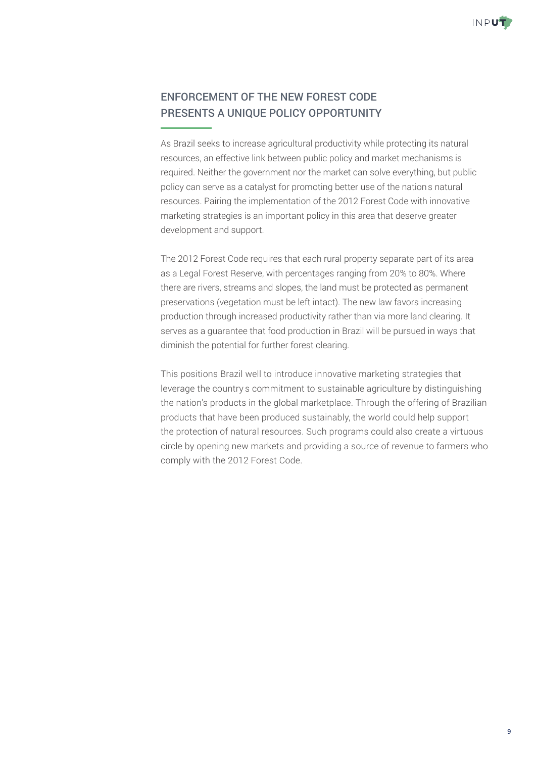

#### ENFORCEMENT OF THE NEW FOREST CODE PRESENTS A UNIQUE POLICY OPPORTUNITY

As Brazil seeks to increase agricultural productivity while protecting its natural resources, an effective link between public policy and market mechanisms is required. Neither the government nor the market can solve everything, but public policy can serve as a catalyst for promoting better use of the nation's natural resources. Pairing the implementation of the 2012 Forest Code with innovative marketing strategies is an important policy in this area that deserve greater development and support.

The 2012 Forest Code requires that each rural property separate part of its area as a Legal Forest Reserve, with percentages ranging from 20% to 80%. Where there are rivers, streams and slopes, the land must be protected as permanent preservations (vegetation must be left intact). The new law favors increasing production through increased productivity rather than via more land clearing. It serves as a guarantee that food production in Brazil will be pursued in ways that diminish the potential for further forest clearing.

This positions Brazil well to introduce innovative marketing strategies that leverage the country's commitment to sustainable agriculture by distinguishing the nation's products in the global marketplace. Through the offering of Brazilian products that have been produced sustainably, the world could help support the protection of natural resources. Such programs could also create a virtuous circle by opening new markets and providing a source of revenue to farmers who comply with the 2012 Forest Code.